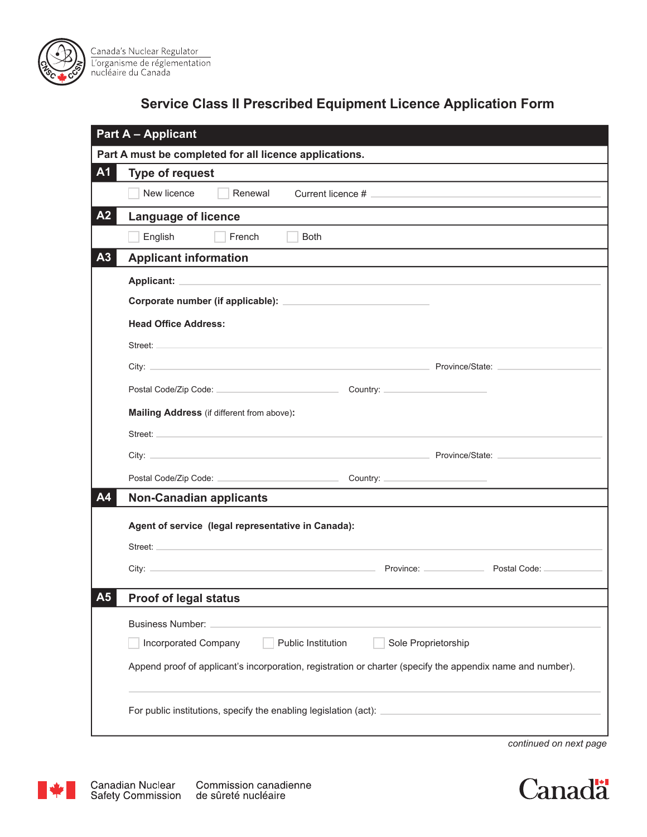

## **Service Class II Prescribed Equipment Licence Application Form**

| <b>Part A - Applicant</b>                              |                                                                                                                                                                                                                                |                                                                                   |  |  |
|--------------------------------------------------------|--------------------------------------------------------------------------------------------------------------------------------------------------------------------------------------------------------------------------------|-----------------------------------------------------------------------------------|--|--|
| Part A must be completed for all licence applications. |                                                                                                                                                                                                                                |                                                                                   |  |  |
| A <sub>1</sub>                                         | <b>Type of request</b>                                                                                                                                                                                                         |                                                                                   |  |  |
|                                                        | New licence<br>Renewal                                                                                                                                                                                                         |                                                                                   |  |  |
| A2                                                     | <b>Language of licence</b>                                                                                                                                                                                                     |                                                                                   |  |  |
|                                                        | English<br>French<br><b>Both</b>                                                                                                                                                                                               |                                                                                   |  |  |
| A3                                                     | <b>Applicant information</b>                                                                                                                                                                                                   |                                                                                   |  |  |
|                                                        | Applicant: Applicant: Applicant: Applicant: Applicant: Applicant: Applicant: Applicant: Applicant: Applicant: Applicant: Applicant: Applicant: Applicant: Applicant: Applicant: Applicant: Applicant: Applicant: Applicant: Ap |                                                                                   |  |  |
|                                                        |                                                                                                                                                                                                                                |                                                                                   |  |  |
|                                                        | <b>Head Office Address:</b>                                                                                                                                                                                                    |                                                                                   |  |  |
|                                                        | Street: experience and the contract of the contract of the contract of the contract of the contract of the contract of the contract of the contract of the contract of the contract of the contract of the contract of the con |                                                                                   |  |  |
|                                                        |                                                                                                                                                                                                                                |                                                                                   |  |  |
|                                                        | Postal Code/Zip Code: Country: Country: Country:                                                                                                                                                                               |                                                                                   |  |  |
|                                                        | Mailing Address (if different from above):                                                                                                                                                                                     |                                                                                   |  |  |
|                                                        | Street: <b>Experiment Street:</b> And the street of the street of the street of the street of the street of the street                                                                                                         |                                                                                   |  |  |
|                                                        | City: <u>City:</u> Province/State: 2004.                                                                                                                                                                                       |                                                                                   |  |  |
|                                                        | Postal Code/Zip Code: Country: Country: Country:                                                                                                                                                                               |                                                                                   |  |  |
| Α4                                                     | <b>Non-Canadian applicants</b>                                                                                                                                                                                                 |                                                                                   |  |  |
|                                                        | Agent of service (legal representative in Canada):                                                                                                                                                                             |                                                                                   |  |  |
|                                                        | Street: New York Street:                                                                                                                                                                                                       |                                                                                   |  |  |
|                                                        | City: City: City: City: City: City: City: City: City: City: City: City: City: City: City: City: City: City: City: City: City: City: City: City: City: City: City: City: City: City: City: City: City: City: City: City: City:  | Province: <u>________________</u><br>Postal Code: National According Postal Code: |  |  |
| œ<br>AЭ                                                | Proof of legal status                                                                                                                                                                                                          |                                                                                   |  |  |
|                                                        | <b>Business Number:</b>                                                                                                                                                                                                        |                                                                                   |  |  |
|                                                        | Public Institution<br>Incorporated Company                                                                                                                                                                                     | Sole Proprietorship                                                               |  |  |
|                                                        | Append proof of applicant's incorporation, registration or charter (specify the appendix name and number).                                                                                                                     |                                                                                   |  |  |
|                                                        | For public institutions, specify the enabling legislation (act): __________________________________                                                                                                                            |                                                                                   |  |  |

*continued on next page* 

**Canada** 



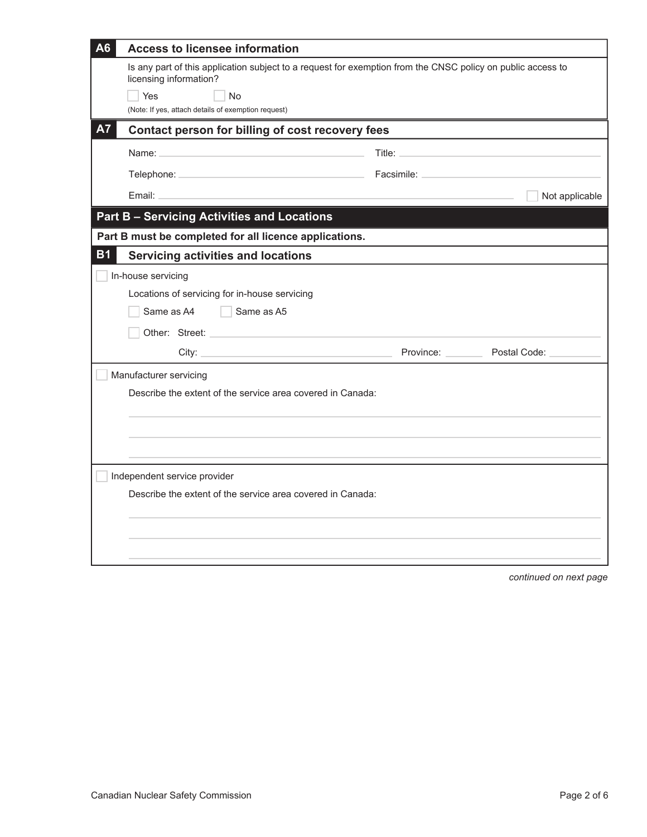| A <sub>6</sub> | <b>Access to licensee information</b>                                                                                                                                                                                          |                                                                                                                                                                                                                                |                                  |
|----------------|--------------------------------------------------------------------------------------------------------------------------------------------------------------------------------------------------------------------------------|--------------------------------------------------------------------------------------------------------------------------------------------------------------------------------------------------------------------------------|----------------------------------|
|                | Is any part of this application subject to a request for exemption from the CNSC policy on public access to<br>licensing information?<br>Yes<br><b>No</b><br>(Note: If yes, attach details of exemption request)               |                                                                                                                                                                                                                                |                                  |
| <b>A7</b>      | Contact person for billing of cost recovery fees                                                                                                                                                                               |                                                                                                                                                                                                                                |                                  |
|                | Name: Name and the state of the state of the state of the state of the state of the state of the state of the state of the state of the state of the state of the state of the state of the state of the state of the state of | Title: <u>Alexander Alexander Alexander Alexander Alexander Alexander Alexander Alexander Alexander Alexander Alex</u>                                                                                                         |                                  |
|                | Telephone: New York State State State State State State State State State State State State State State State State State State State State State State State State State State State State State State State State State Stat | Facsimile: National Property of the Contract of the Contract of the Contract of the Contract of the Contract of the Contract of the Contract of the Contract of the Contract of the Contract of the Contract of the Contract o |                                  |
|                | Email: Email: Email: Email: Email: Email: Email: Email: Email: Email: Email: Email: Email: Email: Email: Email: Email: Email: Email: Email: Email: Email: Email: Email: Email: Email: Email: Email: Email: Email: Email: Email |                                                                                                                                                                                                                                | Not applicable                   |
|                | <b>Part B - Servicing Activities and Locations</b>                                                                                                                                                                             |                                                                                                                                                                                                                                |                                  |
|                | Part B must be completed for all licence applications.                                                                                                                                                                         |                                                                                                                                                                                                                                |                                  |
| <b>B1</b>      | <b>Servicing activities and locations</b>                                                                                                                                                                                      |                                                                                                                                                                                                                                |                                  |
|                | In-house servicing                                                                                                                                                                                                             |                                                                                                                                                                                                                                |                                  |
|                | Locations of servicing for in-house servicing                                                                                                                                                                                  |                                                                                                                                                                                                                                |                                  |
|                | Same as A4<br>Same as A5                                                                                                                                                                                                       |                                                                                                                                                                                                                                |                                  |
|                | Other: Street: 2008 Change of the Change of the Change of the Change of the Change of the Change of the Change of the Change of the Change of the Change of the Change of the Change of the Change of the Change of the Change |                                                                                                                                                                                                                                |                                  |
|                |                                                                                                                                                                                                                                |                                                                                                                                                                                                                                | Province: Postal Code: Province: |
|                | Manufacturer servicing                                                                                                                                                                                                         |                                                                                                                                                                                                                                |                                  |
|                | Describe the extent of the service area covered in Canada:                                                                                                                                                                     |                                                                                                                                                                                                                                |                                  |
|                |                                                                                                                                                                                                                                |                                                                                                                                                                                                                                |                                  |
|                |                                                                                                                                                                                                                                |                                                                                                                                                                                                                                |                                  |
|                |                                                                                                                                                                                                                                |                                                                                                                                                                                                                                |                                  |
|                | Independent service provider                                                                                                                                                                                                   |                                                                                                                                                                                                                                |                                  |
|                | Describe the extent of the service area covered in Canada:                                                                                                                                                                     |                                                                                                                                                                                                                                |                                  |
|                |                                                                                                                                                                                                                                |                                                                                                                                                                                                                                |                                  |
|                |                                                                                                                                                                                                                                |                                                                                                                                                                                                                                |                                  |
|                |                                                                                                                                                                                                                                |                                                                                                                                                                                                                                |                                  |
|                |                                                                                                                                                                                                                                |                                                                                                                                                                                                                                |                                  |

*continued on next page*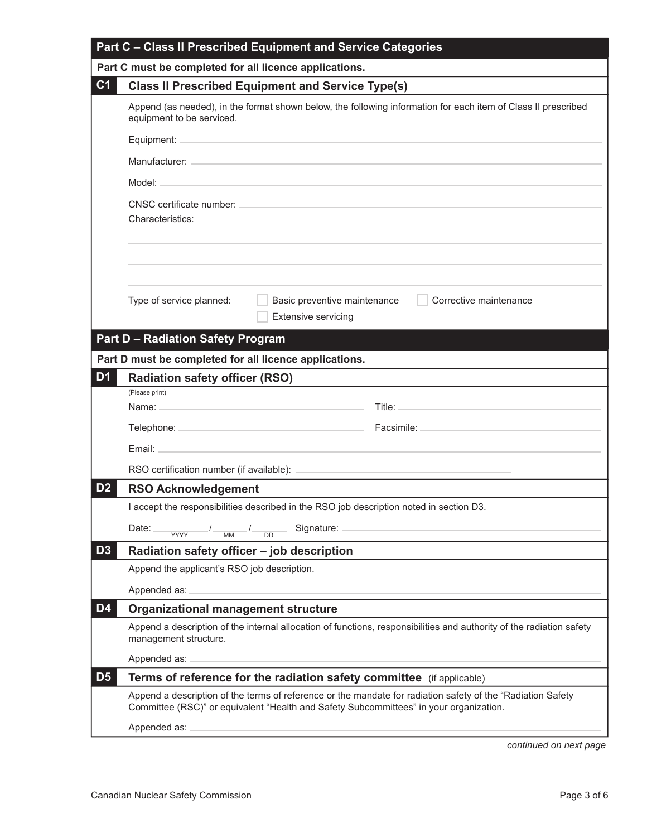| Part C - Class II Prescribed Equipment and Service Categories |                                                                                                                                                                                                                                                 |  |  |  |
|---------------------------------------------------------------|-------------------------------------------------------------------------------------------------------------------------------------------------------------------------------------------------------------------------------------------------|--|--|--|
| Part C must be completed for all licence applications.        |                                                                                                                                                                                                                                                 |  |  |  |
| C <sub>1</sub>                                                | <b>Class II Prescribed Equipment and Service Type(s)</b>                                                                                                                                                                                        |  |  |  |
|                                                               | Append (as needed), in the format shown below, the following information for each item of Class II prescribed<br>equipment to be serviced.                                                                                                      |  |  |  |
|                                                               | Manufacturer: National Activities and Activities and Activities and Activities and Activities and Activities and Activities and Activities and Activities and Activities and Activities and Activities and Activities and Acti<br>Model:        |  |  |  |
|                                                               |                                                                                                                                                                                                                                                 |  |  |  |
|                                                               |                                                                                                                                                                                                                                                 |  |  |  |
| CNSC certificate number:<br>Characteristics:                  |                                                                                                                                                                                                                                                 |  |  |  |
|                                                               | Type of service planned:<br>Basic preventive maintenance<br>Corrective maintenance<br><b>Extensive servicing</b>                                                                                                                                |  |  |  |
|                                                               | <b>Part D - Radiation Safety Program</b>                                                                                                                                                                                                        |  |  |  |
|                                                               | Part D must be completed for all licence applications.                                                                                                                                                                                          |  |  |  |
| D <sub>1</sub>                                                | <b>Radiation safety officer (RSO)</b>                                                                                                                                                                                                           |  |  |  |
|                                                               | (Please print)<br>Name: Name: Name: Name: Name: Name: Name: Name: Name: Name: Name: Name: Name: Name: Name: Name: Name: Name: Name: Name: Name: Name: Name: Name: Name: Name: Name: Name: Name: Name: Name: Name: Name: Name: Name: Name: Name: |  |  |  |
|                                                               | Telephone: Facsimile: Facsimile:                                                                                                                                                                                                                |  |  |  |
|                                                               |                                                                                                                                                                                                                                                 |  |  |  |
|                                                               |                                                                                                                                                                                                                                                 |  |  |  |
| D <sub>2</sub>                                                | <b>RSO Acknowledgement</b>                                                                                                                                                                                                                      |  |  |  |
|                                                               | I accept the responsibilities described in the RSO job description noted in section D3.                                                                                                                                                         |  |  |  |
|                                                               | $\frac{1}{\sqrt{1-\frac{1}{DD}}}$ Signature:<br>the control of the control of the control of the control of the control of<br>Date: $\Box$                                                                                                      |  |  |  |
| D <sub>3</sub>                                                | $\overline{\mathsf{MM}}$<br><b>YYYY</b><br>Radiation safety officer - job description                                                                                                                                                           |  |  |  |
|                                                               | Append the applicant's RSO job description.                                                                                                                                                                                                     |  |  |  |
|                                                               | Appended as:                                                                                                                                                                                                                                    |  |  |  |
| D4                                                            | <b>Organizational management structure</b>                                                                                                                                                                                                      |  |  |  |
|                                                               | Append a description of the internal allocation of functions, responsibilities and authority of the radiation safety<br>management structure.                                                                                                   |  |  |  |
|                                                               | Appended as:                                                                                                                                                                                                                                    |  |  |  |
| D <sub>5</sub>                                                | Terms of reference for the radiation safety committee (if applicable)                                                                                                                                                                           |  |  |  |
|                                                               | Append a description of the terms of reference or the mandate for radiation safety of the "Radiation Safety<br>Committee (RSC)" or equivalent "Health and Safety Subcommittees" in your organization.                                           |  |  |  |
|                                                               | Appended as:                                                                                                                                                                                                                                    |  |  |  |

*continued on next page*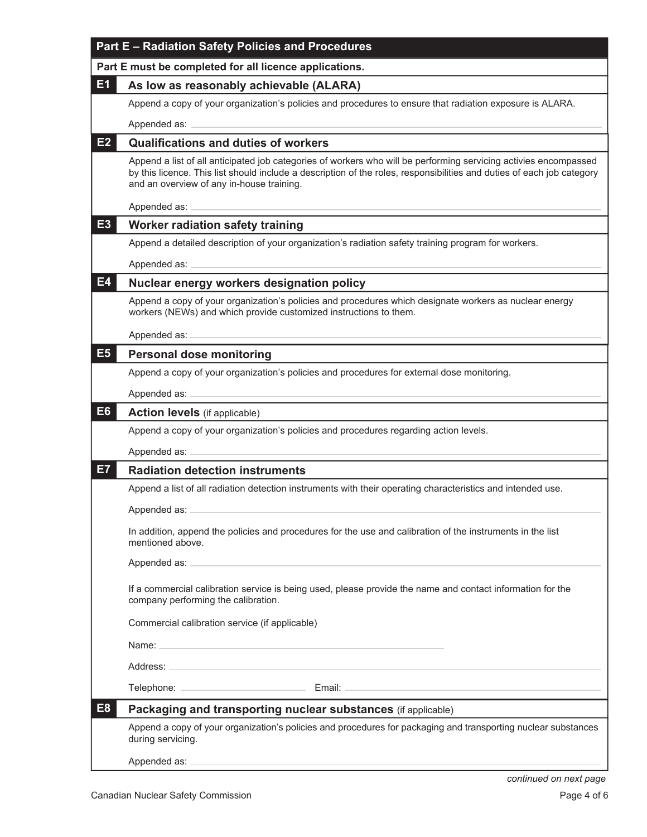|  | Part E must be completed for all licence applications.                                                                                                                                                                                                                                  |
|--|-----------------------------------------------------------------------------------------------------------------------------------------------------------------------------------------------------------------------------------------------------------------------------------------|
|  | As low as reasonably achievable (ALARA)                                                                                                                                                                                                                                                 |
|  | Append a copy of your organization's policies and procedures to ensure that radiation exposure is ALARA.                                                                                                                                                                                |
|  | Appended as:                                                                                                                                                                                                                                                                            |
|  | <b>Qualifications and duties of workers</b>                                                                                                                                                                                                                                             |
|  | Append a list of all anticipated job categories of workers who will be performing servicing activies encompassed<br>by this licence. This list should include a description of the roles, responsibilities and duties of each job category<br>and an overview of any in-house training. |
|  | Appended as:                                                                                                                                                                                                                                                                            |
|  | <b>Worker radiation safety training</b>                                                                                                                                                                                                                                                 |
|  | Append a detailed description of your organization's radiation safety training program for workers.                                                                                                                                                                                     |
|  | Appended as:                                                                                                                                                                                                                                                                            |
|  | Nuclear energy workers designation policy                                                                                                                                                                                                                                               |
|  | Append a copy of your organization's policies and procedures which designate workers as nuclear energy<br>workers (NEWs) and which provide customized instructions to them.                                                                                                             |
|  | Appended as:                                                                                                                                                                                                                                                                            |
|  | <b>Personal dose monitoring</b>                                                                                                                                                                                                                                                         |
|  | Append a copy of your organization's policies and procedures for external dose monitoring.                                                                                                                                                                                              |
|  | Appended as:                                                                                                                                                                                                                                                                            |
|  | <b>Action levels</b> (if applicable)                                                                                                                                                                                                                                                    |
|  | Append a copy of your organization's policies and procedures regarding action levels.                                                                                                                                                                                                   |
|  | Appended as:                                                                                                                                                                                                                                                                            |
|  | <b>Radiation detection instruments</b>                                                                                                                                                                                                                                                  |
|  | Append a list of all radiation detection instruments with their operating characteristics and intended use.                                                                                                                                                                             |
|  | Appended as:                                                                                                                                                                                                                                                                            |
|  | In addition, append the policies and procedures for the use and calibration of the instruments in the list<br>mentioned above.                                                                                                                                                          |
|  | Appended as: North Commission Commission Commission Commission Commission Commission                                                                                                                                                                                                    |
|  | If a commercial calibration service is being used, please provide the name and contact information for the<br>company performing the calibration.                                                                                                                                       |
|  | Commercial calibration service (if applicable)                                                                                                                                                                                                                                          |
|  | Name: Name and the state of the state of the state of the state of the state of the state of the state of the                                                                                                                                                                           |
|  | the control of the control of the control of the control of the control of the control of<br>Address: __                                                                                                                                                                                |
|  |                                                                                                                                                                                                                                                                                         |
|  |                                                                                                                                                                                                                                                                                         |
|  | Packaging and transporting nuclear substances (if applicable)                                                                                                                                                                                                                           |
|  | Append a copy of your organization's policies and procedures for packaging and transporting nuclear substances<br>during servicing.                                                                                                                                                     |
|  | Appended as: _                                                                                                                                                                                                                                                                          |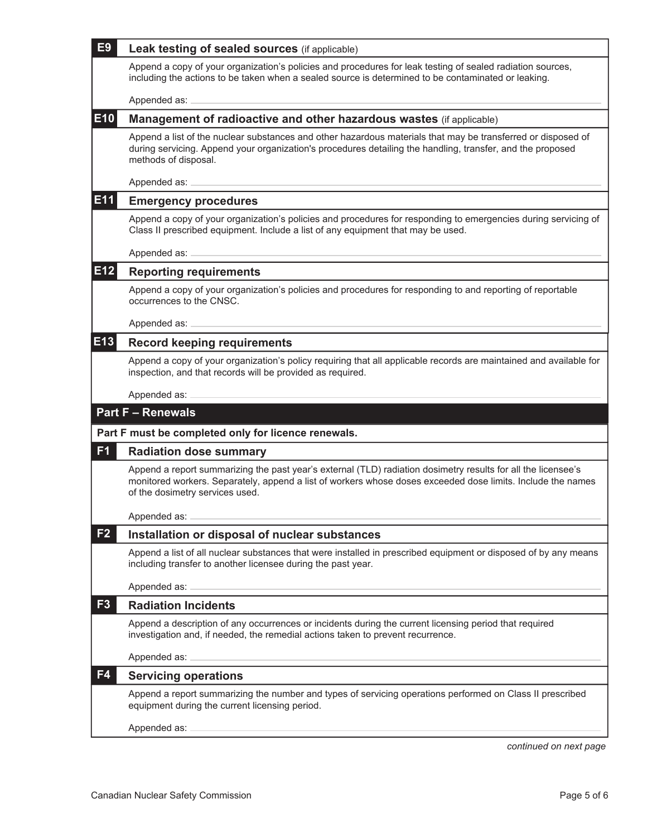| E <sub>9</sub> | Leak testing of sealed sources (if applicable)                                                                                                                                                                                                                  |  |
|----------------|-----------------------------------------------------------------------------------------------------------------------------------------------------------------------------------------------------------------------------------------------------------------|--|
|                | Append a copy of your organization's policies and procedures for leak testing of sealed radiation sources,<br>including the actions to be taken when a sealed source is determined to be contaminated or leaking.                                               |  |
|                | Appended as:                                                                                                                                                                                                                                                    |  |
| E10            | Management of radioactive and other hazardous wastes (if applicable)                                                                                                                                                                                            |  |
|                | Append a list of the nuclear substances and other hazardous materials that may be transferred or disposed of<br>during servicing. Append your organization's procedures detailing the handling, transfer, and the proposed<br>methods of disposal.              |  |
|                | Appended as:                                                                                                                                                                                                                                                    |  |
| E11            | <b>Emergency procedures</b>                                                                                                                                                                                                                                     |  |
|                | Append a copy of your organization's policies and procedures for responding to emergencies during servicing of<br>Class II prescribed equipment. Include a list of any equipment that may be used.                                                              |  |
|                | Appended as:                                                                                                                                                                                                                                                    |  |
| E12            | <b>Reporting requirements</b>                                                                                                                                                                                                                                   |  |
|                | Append a copy of your organization's policies and procedures for responding to and reporting of reportable<br>occurrences to the CNSC.                                                                                                                          |  |
|                | Appended as:                                                                                                                                                                                                                                                    |  |
| E13            | <b>Record keeping requirements</b>                                                                                                                                                                                                                              |  |
|                | Append a copy of your organization's policy requiring that all applicable records are maintained and available for<br>inspection, and that records will be provided as required.                                                                                |  |
|                | Appended as:                                                                                                                                                                                                                                                    |  |
|                | <b>Part F - Renewals</b>                                                                                                                                                                                                                                        |  |
|                | Part F must be completed only for licence renewals.                                                                                                                                                                                                             |  |
| F <sub>1</sub> | <b>Radiation dose summary</b>                                                                                                                                                                                                                                   |  |
|                | Append a report summarizing the past year's external (TLD) radiation dosimetry results for all the licensee's<br>monitored workers. Separately, append a list of workers whose doses exceeded dose limits. Include the names<br>of the dosimetry services used. |  |
|                | Appended as:                                                                                                                                                                                                                                                    |  |
| F <sub>2</sub> | Installation or disposal of nuclear substances                                                                                                                                                                                                                  |  |
|                | Append a list of all nuclear substances that were installed in prescribed equipment or disposed of by any means<br>including transfer to another licensee during the past year.                                                                                 |  |
|                | Appended as:                                                                                                                                                                                                                                                    |  |
| F <sub>3</sub> | <b>Radiation Incidents</b>                                                                                                                                                                                                                                      |  |
|                | Append a description of any occurrences or incidents during the current licensing period that required<br>investigation and, if needed, the remedial actions taken to prevent recurrence.                                                                       |  |
|                | Appended as:                                                                                                                                                                                                                                                    |  |
| F4             | <b>Servicing operations</b>                                                                                                                                                                                                                                     |  |
|                | Append a report summarizing the number and types of servicing operations performed on Class II prescribed<br>equipment during the current licensing period.                                                                                                     |  |
|                | Appended as:                                                                                                                                                                                                                                                    |  |
|                | continued on next page                                                                                                                                                                                                                                          |  |